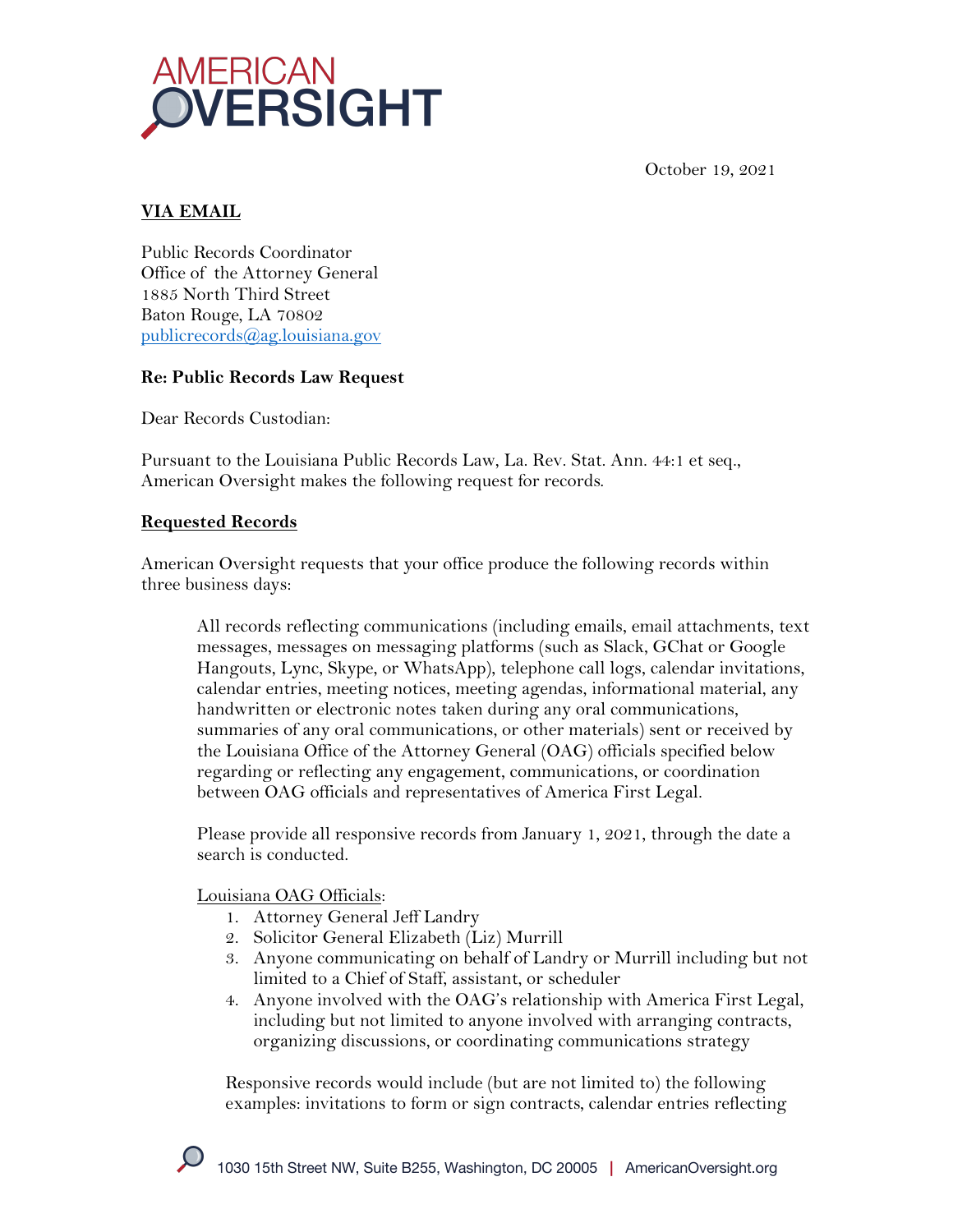



# **VIA EMAIL**

Public Records Coordinator Office of the Attorney General 1885 North Third Street Baton Rouge, LA 70802 publicrecords@ag.louisiana.gov

## **Re: Public Records Law Request**

Dear Records Custodian:

Pursuant to the Louisiana Public Records Law, La. Rev. Stat. Ann. 44:1 et seq., American Oversight makes the following request for records.

## **Requested Records**

American Oversight requests that your office produce the following records within three business days:

All records reflecting communications (including emails, email attachments, text messages, messages on messaging platforms (such as Slack, GChat or Google Hangouts, Lync, Skype, or WhatsApp), telephone call logs, calendar invitations, calendar entries, meeting notices, meeting agendas, informational material, any handwritten or electronic notes taken during any oral communications, summaries of any oral communications, or other materials) sent or received by the Louisiana Office of the Attorney General (OAG) officials specified below regarding or reflecting any engagement, communications, or coordination between OAG officials and representatives of America First Legal.

Please provide all responsive records from January 1, 2021, through the date a search is conducted.

Louisiana OAG Officials:

- 1. Attorney General Jeff Landry
- 2. Solicitor General Elizabeth (Liz) Murrill
- 3. Anyone communicating on behalf of Landry or Murrill including but not limited to a Chief of Staff, assistant, or scheduler
- 4. Anyone involved with the OAG's relationship with America First Legal, including but not limited to anyone involved with arranging contracts, organizing discussions, or coordinating communications strategy

Responsive records would include (but are not limited to) the following examples: invitations to form or sign contracts, calendar entries reflecting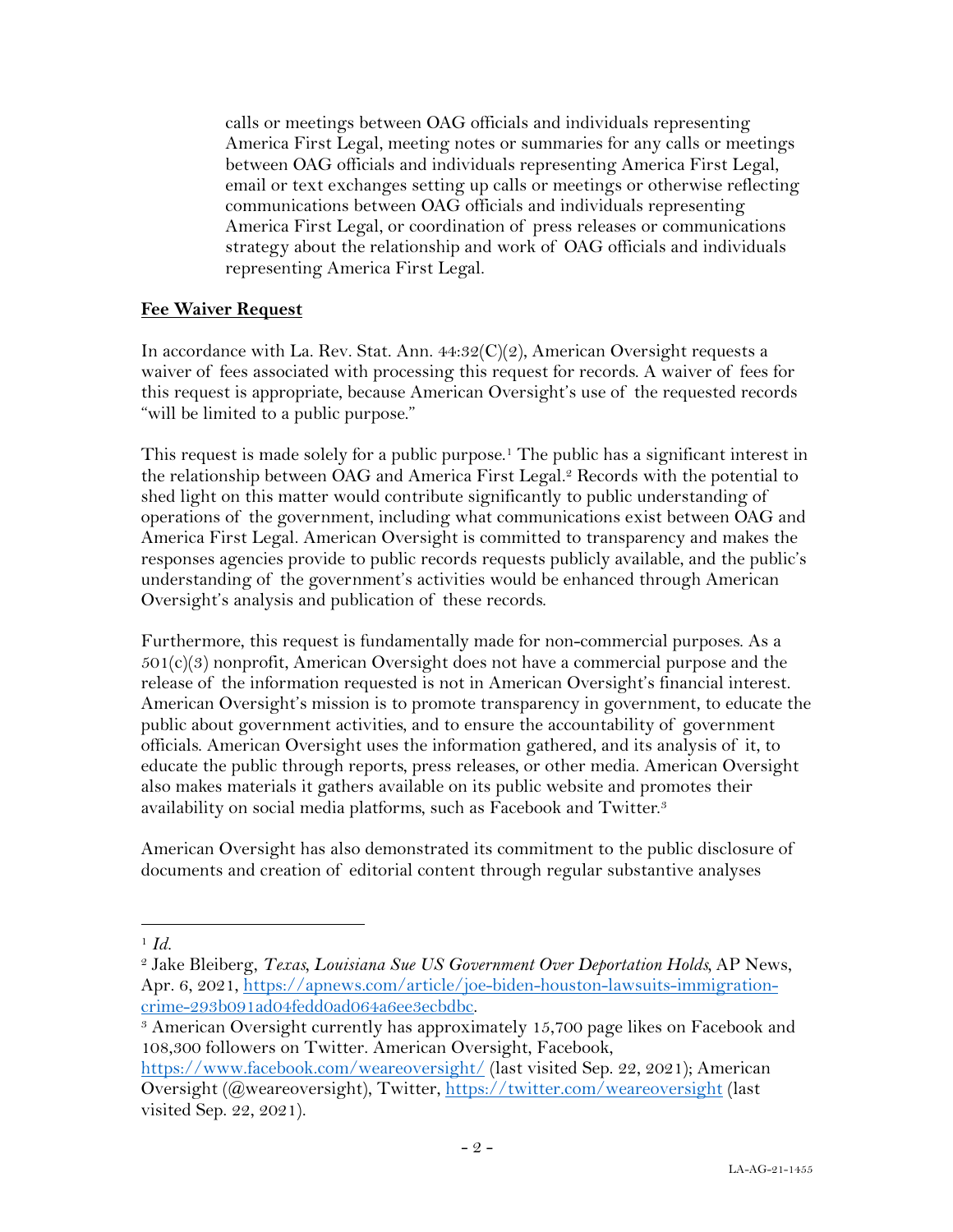calls or meetings between OAG officials and individuals representing America First Legal, meeting notes or summaries for any calls or meetings between OAG officials and individuals representing America First Legal, email or text exchanges setting up calls or meetings or otherwise reflecting communications between OAG officials and individuals representing America First Legal, or coordination of press releases or communications strategy about the relationship and work of OAG officials and individuals representing America First Legal.

#### **Fee Waiver Request**

In accordance with La. Rev. Stat. Ann. 44:32(C)(2), American Oversight requests a waiver of fees associated with processing this request for records. A waiver of fees for this request is appropriate, because American Oversight's use of the requested records "will be limited to a public purpose."

This request is made solely for a public purpose.<sup>1</sup> The public has a significant interest in the relationship between OAG and America First Legal. <sup>2</sup> Records with the potential to shed light on this matter would contribute significantly to public understanding of operations of the government, including what communications exist between OAG and America First Legal. American Oversight is committed to transparency and makes the responses agencies provide to public records requests publicly available, and the public's understanding of the government's activities would be enhanced through American Oversight's analysis and publication of these records.

Furthermore, this request is fundamentally made for non-commercial purposes. As a  $501(c)(3)$  nonprofit, American Oversight does not have a commercial purpose and the release of the information requested is not in American Oversight's financial interest. American Oversight's mission is to promote transparency in government, to educate the public about government activities, and to ensure the accountability of government officials. American Oversight uses the information gathered, and its analysis of it, to educate the public through reports, press releases, or other media. American Oversight also makes materials it gathers available on its public website and promotes their availability on social media platforms, such as Facebook and Twitter.3

American Oversight has also demonstrated its commitment to the public disclosure of documents and creation of editorial content through regular substantive analyses

<sup>1</sup> *Id.*

<sup>2</sup> Jake Bleiberg, *Texas, Louisiana Sue US Government Over Deportation Holds,* AP News, Apr. 6, 2021, https://apnews.com/article/joe-biden-houston-lawsuits-immigrationcrime-293b091ad04fedd0ad064a6ee3ecbdbc. 3 American Oversight currently has approximately 15,700 page likes on Facebook and

<sup>108,300</sup> followers on Twitter. American Oversight, Facebook,

https://www.facebook.com/weareoversight/ (last visited Sep. 22, 2021); American Oversight (@weareoversight), Twitter, https://twitter.com/weareoversight (last visited Sep. 22, 2021).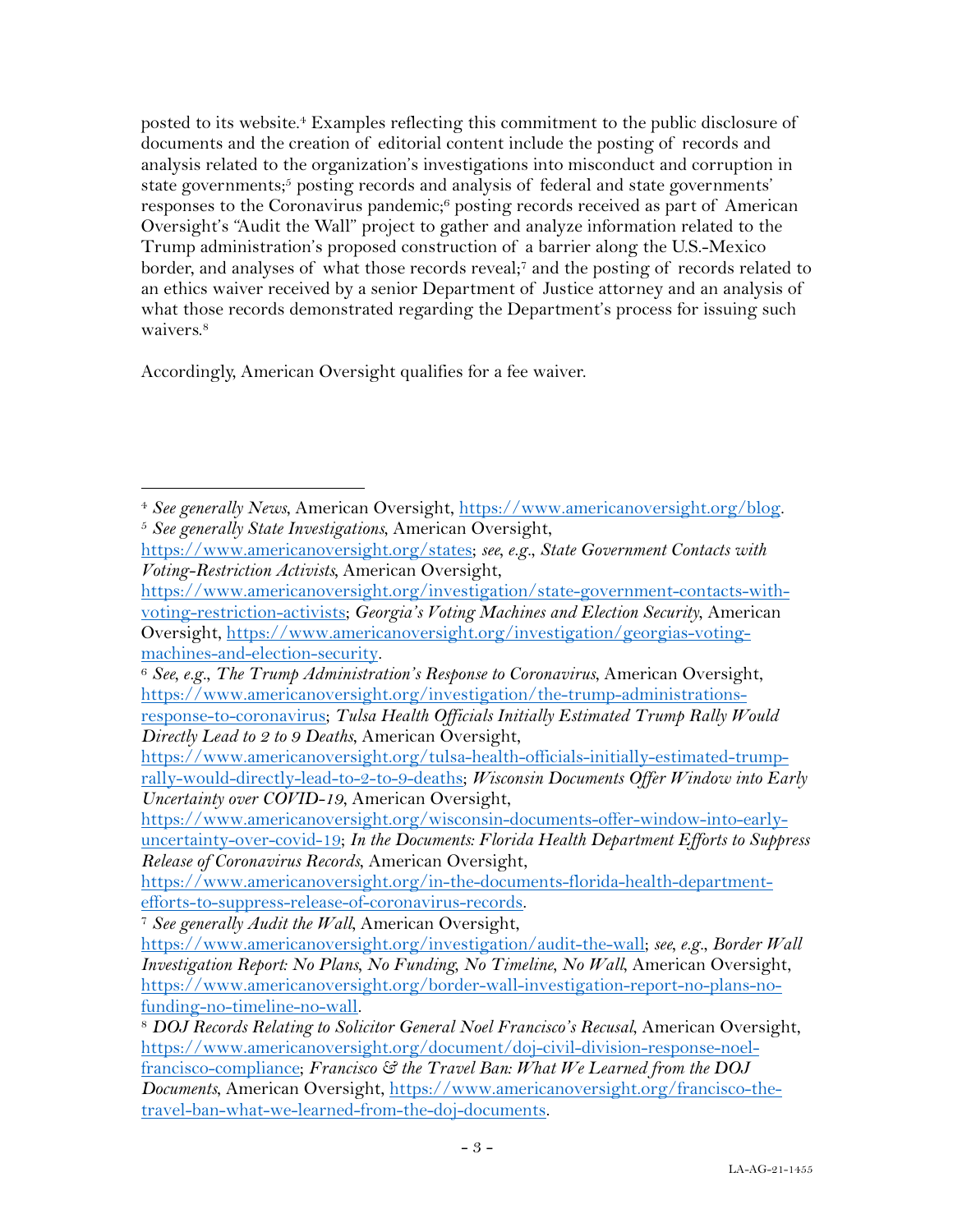posted to its website. <sup>4</sup> Examples reflecting this commitment to the public disclosure of documents and the creation of editorial content include the posting of records and analysis related to the organization's investigations into misconduct and corruption in state governments; <sup>5</sup> posting records and analysis of federal and state governments' responses to the Coronavirus pandemic;<sup>6</sup> posting records received as part of American Oversight's "Audit the Wall" project to gather and analyze information related to the Trump administration's proposed construction of a barrier along the U.S.-Mexico border, and analyses of what those records reveal;7 and the posting of records related to an ethics waiver received by a senior Department of Justice attorney and an analysis of what those records demonstrated regarding the Department's process for issuing such waivers.<sup>8</sup>

Accordingly, American Oversight qualifies for a fee waiver.

<sup>4</sup> *See generally News*, American Oversight, https://www.americanoversight.org/blog. 5 *See generally State Investigations*, American Oversight,

https://www.americanoversight.org/states; *see, e.g.*, *State Government Contacts with Voting-Restriction Activists,* American Oversight,

https://www.americanoversight.org/investigation/state-government-contacts-withvoting-restriction-activists; *Georgia's Voting Machines and Election Security*, American Oversight, https://www.americanoversight.org/investigation/georgias-voting-

machines-and-election-security. 6 *See, e.g.*, *The Trump Administration's Response to Coronavirus*, American Oversight, https://www.americanoversight.org/investigation/the-trump-administrations-

response-to-coronavirus; *Tulsa Health Officials Initially Estimated Trump Rally Would Directly Lead to 2 to 9 Deaths*, American Oversight,

https://www.americanoversight.org/tulsa-health-officials-initially-estimated-trumprally-would-directly-lead-to-2-to-9-deaths; *Wisconsin Documents Offer Window into Early Uncertainty over COVID-19*, American Oversight,

https://www.americanoversight.org/wisconsin-documents-offer-window-into-earlyuncertainty-over-covid-19; *In the Documents: Florida Health Department Efforts to Suppress Release of Coronavirus Records*, American Oversight,

https://www.americanoversight.org/in-the-documents-florida-health-departmentefforts-to-suppress-release-of-coronavirus-records. 7 *See generally Audit the Wall*, American Oversight,

https://www.americanoversight.org/investigation/audit-the-wall; *see, e.g.*, *Border Wall Investigation Report: No Plans, No Funding, No Timeline, No Wall*, American Oversight, https://www.americanoversight.org/border-wall-investigation-report-no-plans-nofunding-no-timeline-no-wall. 8 *DOJ Records Relating to Solicitor General Noel Francisco's Recusal*, American Oversight,

https://www.americanoversight.org/document/doj-civil-division-response-noelfrancisco-compliance; *Francisco & the Travel Ban: What We Learned from the DOJ Documents*, American Oversight, https://www.americanoversight.org/francisco-thetravel-ban-what-we-learned-from-the-doj-documents.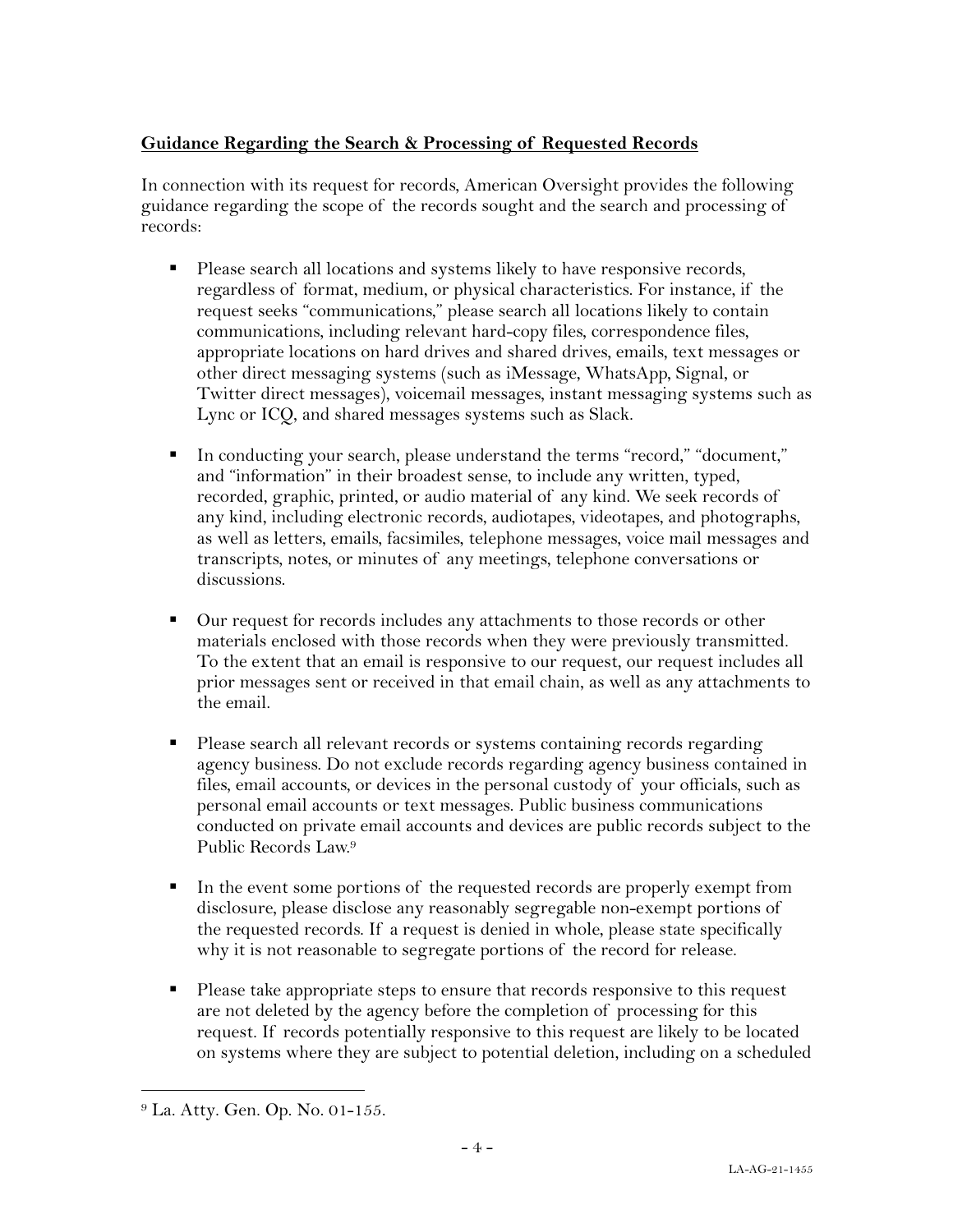## **Guidance Regarding the Search & Processing of Requested Records**

In connection with its request for records, American Oversight provides the following guidance regarding the scope of the records sought and the search and processing of records:

- Please search all locations and systems likely to have responsive records, regardless of format, medium, or physical characteristics. For instance, if the request seeks "communications," please search all locations likely to contain communications, including relevant hard-copy files, correspondence files, appropriate locations on hard drives and shared drives, emails, text messages or other direct messaging systems (such as iMessage, WhatsApp, Signal, or Twitter direct messages), voicemail messages, instant messaging systems such as Lync or ICQ, and shared messages systems such as Slack.
- § In conducting your search, please understand the terms "record," "document," and "information" in their broadest sense, to include any written, typed, recorded, graphic, printed, or audio material of any kind. We seek records of any kind, including electronic records, audiotapes, videotapes, and photographs, as well as letters, emails, facsimiles, telephone messages, voice mail messages and transcripts, notes, or minutes of any meetings, telephone conversations or discussions.
- Our request for records includes any attachments to those records or other materials enclosed with those records when they were previously transmitted. To the extent that an email is responsive to our request, our request includes all prior messages sent or received in that email chain, as well as any attachments to the email.
- § Please search all relevant records or systems containing records regarding agency business. Do not exclude records regarding agency business contained in files, email accounts, or devices in the personal custody of your officials, such as personal email accounts or text messages. Public business communications conducted on private email accounts and devices are public records subject to the Public Records Law. 9
- § In the event some portions of the requested records are properly exempt from disclosure, please disclose any reasonably segregable non-exempt portions of the requested records. If a request is denied in whole, please state specifically why it is not reasonable to segregate portions of the record for release.
- § Please take appropriate steps to ensure that records responsive to this request are not deleted by the agency before the completion of processing for this request. If records potentially responsive to this request are likely to be located on systems where they are subject to potential deletion, including on a scheduled

<sup>9</sup> La. Atty. Gen. Op. No. 01-155.